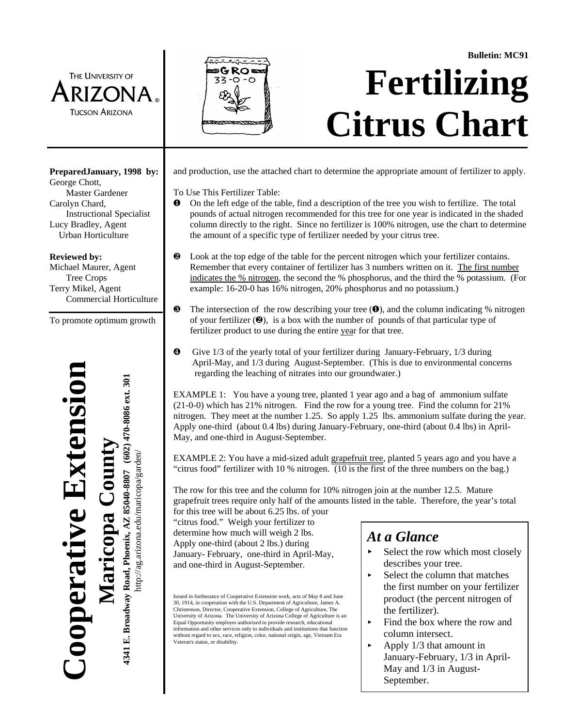THE UNIVERSITY OF RIZONA **TUCSON ARIZONA** 



# **Bulletin: MC91 Fertilizing Citrus Chart**

and production, use the attached chart to determine the appropriate amount of fertilizer to apply.

To Use This Fertilizer Table:

- Ø On the left edge of the table, find a description of the tree you wish to fertilize. The total pounds of actual nitrogen recommended for this tree for one year is indicated in the shaded column directly to the right. Since no fertilizer is 100% nitrogen, use the chart to determine the amount of a specific type of fertilizer needed by your citrus tree.
- Ù Look at the top edge of the table for the percent nitrogen which your fertilizer contains. Remember that every container of fertilizer has 3 numbers written on it. The first number indicates the % nitrogen, the second the % phosphorus, and the third the % potassium. (For example: 16-20-0 has 16% nitrogen, 20% phosphorus and no potassium.)
- $\bullet$  The intersection of the row describing your tree ( $\bullet$ ), and the column indicating % nitrogen of your fertilizer  $(\mathbf{\Theta})$ , is a box with the number of pounds of that particular type of fertilizer product to use during the entire year for that tree.
- Û Give 1/3 of the yearly total of your fertilizer during January-February, 1/3 during April-May, and 1/3 during August-September. (This is due to environmental concerns regarding the leaching of nitrates into our groundwater.)

EXAMPLE 1: You have a young tree, planted 1 year ago and a bag of ammonium sulfate (21-0-0) which has 21% nitrogen. Find the row for a young tree. Find the column for 21% nitrogen. They meet at the number 1.25. So apply 1.25 lbs. ammonium sulfate during the year. Apply one-third (about 0.4 lbs) during January-February, one-third (about 0.4 lbs) in April-May, and one-third in August-September.

EXAMPLE 2: You have a mid-sized adult grapefruit tree, planted 5 years ago and you have a "citrus food" fertilizer with 10 % nitrogen. (10 is the first of the three numbers on the bag.)

The row for this tree and the column for 10% nitrogen join at the number 12.5. Mature grapefruit trees require only half of the amounts listed in the table. Therefore, the year's total

for this tree will be about 6.25 lbs. of your "citrus food." Weigh your fertilizer to determine how much will weigh 2 lbs. Apply one-third (about 2 lbs.) during January- February, one-third in April-May, and one-third in August-September.

Issued in furtherance of Cooperative Extension work, acts of May 8 and June 30, 1914, in cooperation with the U.S. Department of Agriculture, James A. Christenson, Director, Cooperative Extension, College of Agriculture, The University of Arizona. The University of Arizona College of Agriculture is an Equal Opportunity employer authorized to provide research, educational information and other services only to individuals and institutions that function without regard to sex, race, religion, color, national origin, age, Vietnam Era Veteran's status, or disability.

# *At a Glance*

- Select the row which most closely describes your tree.
- Select the column that matches the first number on your fertilizer product (the percent nitrogen of the fertilizer).
- Find the box where the row and column intersect.
- $\blacktriangleright$  Apply 1/3 that amount in January-February, 1/3 in April-May and 1/3 in August-September.

**PreparedJanuary, 1998 by:** George Chott, Master Gardener Carolyn Chard, Instructional Specialist

Lucy Bradley, Agent Urban Horticulture

#### **Reviewed by:**

Michael Maurer, Agent Tree Crops Terry Mikel, Agent Commercial Horticulture

To promote optimum growth



http://ag.arizona.edu/maricopa/garden/

http://ag.arizona.edu/maricopa/garden/